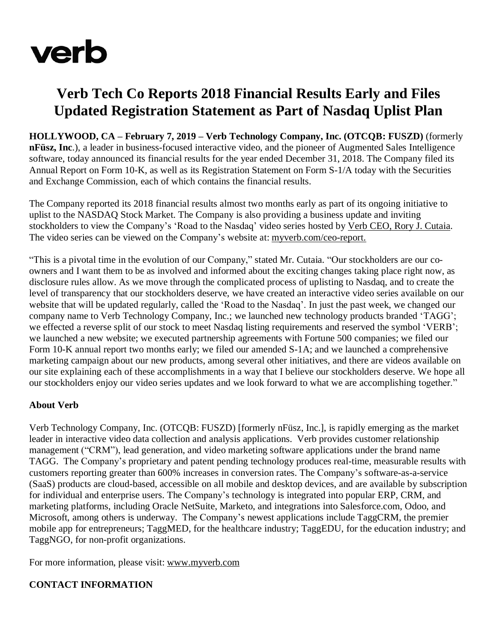

## **Verb Tech Co Reports 2018 Financial Results Early and Files Updated Registration Statement as Part of Nasdaq Uplist Plan**

**HOLLYWOOD, CA – February 7, 2019 – Verb Technology Company, Inc. (OTCQB: FUSZD)** (formerly **nFüsz, Inc**.), a leader in business-focused interactive video, and the pioneer of Augmented Sales Intelligence software, today announced its financial results for the year ended December 31, 2018. The Company filed its Annual Report on Form 10-K, as well as its Registration Statement on Form S-1/A today with the Securities and Exchange Commission, each of which contains the financial results.

The Company reported its 2018 financial results almost two months early as part of its ongoing initiative to uplist to the NASDAQ Stock Market. The Company is also providing a business update and inviting stockholders to view the Company's 'Road to the Nasdaq' video series hosted by Verb CEO, Rory J. [Cutaia.](http://myverb.com.hosted-content.com/v2/info/5c5bd8b280301474c0531197-98GVz/d4712e1951173906703279c1b89bad1e4abec825/https%3A%2F%2Fapp.nfusz.com%2Fplayer%2F6KIjdJVQ) The video series can be viewed on the Company's website at: [myverb.com/ceo-report.](https://myverb.com/ceo-report/)

"This is a pivotal time in the evolution of our Company," stated Mr. Cutaia. "Our stockholders are our coowners and I want them to be as involved and informed about the exciting changes taking place right now, as disclosure rules allow. As we move through the complicated process of uplisting to Nasdaq, and to create the level of transparency that our stockholders deserve, we have created an interactive video series available on our website that will be updated regularly, called the 'Road to the Nasdaq'. In just the past week, we changed our company name to Verb Technology Company, Inc.; we launched new technology products branded 'TAGG'; we effected a reverse split of our stock to meet Nasdaq listing requirements and reserved the symbol 'VERB'; we launched a new website; we executed partnership agreements with Fortune 500 companies; we filed our Form 10-K annual report two months early; we filed our amended S-1A; and we launched a comprehensive marketing campaign about our new products, among several other initiatives, and there are videos available on our site explaining each of these accomplishments in a way that I believe our stockholders deserve. We hope all our stockholders enjoy our video series updates and we look forward to what we are accomplishing together."

## **About Verb**

Verb Technology Company, Inc. (OTCQB: FUSZD) [formerly nFüsz, Inc.], is rapidly emerging as the market leader in interactive video data collection and analysis applications. Verb provides customer relationship management ("CRM"), lead generation, and video marketing software applications under the brand name TAGG. The Company's proprietary and patent pending technology produces real-time, measurable results with customers reporting greater than 600% increases in conversion rates. The Company's software-as-a-service (SaaS) products are cloud-based, accessible on all mobile and desktop devices, and are available by subscription for individual and enterprise users. The Company's technology is integrated into popular ERP, CRM, and marketing platforms, including Oracle NetSuite, Marketo, and integrations into Salesforce.com, Odoo, and Microsoft, among others is underway. The Company's newest applications include TaggCRM, the premier mobile app for entrepreneurs; TaggMED, for the healthcare industry; TaggEDU, for the education industry; and TaggNGO, for non-profit organizations.

For more information, please visit: [www.myverb.com](http://www.myverb.com/)

## **CONTACT INFORMATION**